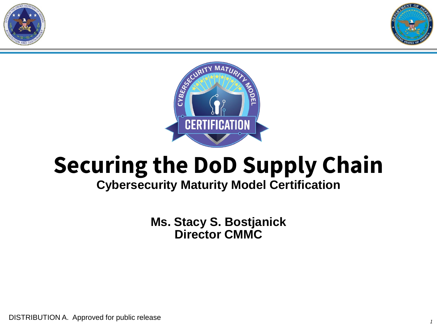





# **Securing the DoD Supply Chain**

### **Cybersecurity Maturity Model Certification**

**Ms. Stacy S. Bostjanick Director CMMC**

DISTRIBUTION A. Approved for public release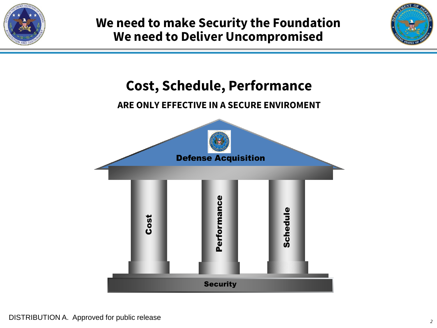



# **Cost, Schedule, Performance**

#### **ARE ONLY EFFECTIVE IN A SECURE ENVIROMENT**

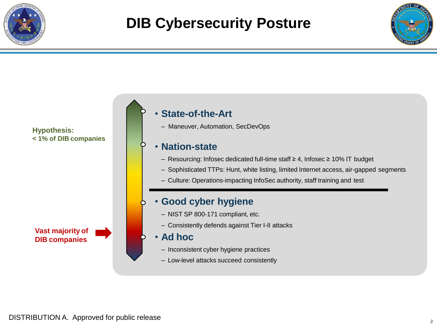

# **DIB Cybersecurity Posture**



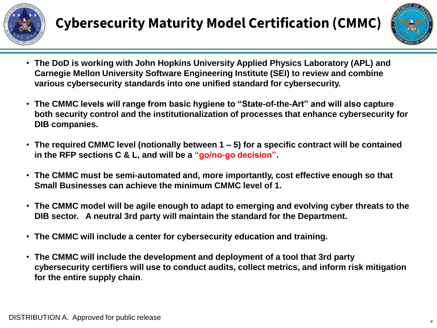



- **The DoD is working with John Hopkins University Applied Physics Laboratory (APL) and Carnegie Mellon University Software Engineering Institute (SEI) to review and combine various cybersecurity standards into one unified standard for cybersecurity.**
- **The CMMC levels will range from basic hygiene to "State-of-the-Art" and will also capture both security control and the institutionalization of processes that enhance cybersecurity for DIB companies.**
- **The required CMMC level (notionally between 1 – 5) for a specific contract will be contained in the RFP sections C & L, and will be a "go/no-go decision".**
- **The CMMC must be semi-automated and, more importantly, cost effective enough so that Small Businesses can achieve the minimum CMMC level of 1.**
- **The CMMC model will be agile enough to adapt to emerging and evolving cyber threats to the DIB sector. A neutral 3rd party will maintain the standard for the Department.**
- **The CMMC will include a center for cybersecurity education and training.**
- **The CMMC will include the development and deployment of a tool that 3rd party cybersecurity certifiers will use to conduct audits, collect metrics, and inform risk mitigation for the entire supply chain**.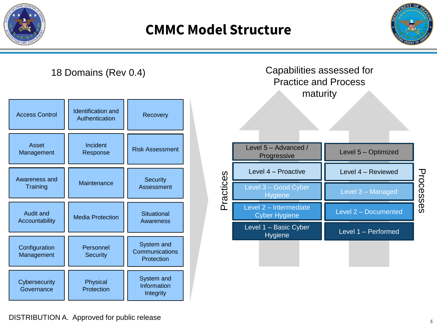

# **CMMC Model Structure**





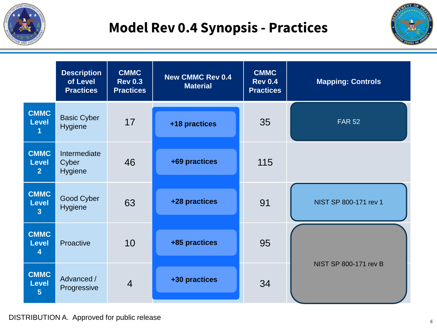

# **Model Rev 0.4 Synopsis - Practices**



|                                               | <b>Description</b><br>of Level<br><b>Practices</b> | <b>CMMC</b><br><b>Rev 0.3</b><br><b>Practices</b> | <b>New CMMC Rev 0.4</b><br><b>Material</b> | <b>CMMC</b><br><b>Rev 0.4</b><br><b>Practices</b> | <b>Mapping: Controls</b> |
|-----------------------------------------------|----------------------------------------------------|---------------------------------------------------|--------------------------------------------|---------------------------------------------------|--------------------------|
| <b>CMMC</b><br><b>Level</b>                   | <b>Basic Cyber</b><br><b>Hygiene</b>               | 17                                                | +18 practices                              | 35                                                | <b>FAR 52</b>            |
| <b>CMMC</b><br><b>Level</b><br>$\overline{2}$ | Intermediate<br>Cyber<br><b>Hygiene</b>            | 46                                                | +69 practices                              | 115                                               |                          |
| <b>CMMC</b><br><b>Level</b><br>$\overline{3}$ | Good Cyber<br>Hygiene                              | 63                                                | +28 practices                              | 91                                                | NIST SP 800-171 rev 1    |
| <b>CMMC</b><br><b>Level</b><br>4              | Proactive                                          | 10                                                | +85 practices                              | 95                                                |                          |
| <b>CMMC</b><br><b>Level</b><br>$5\phantom{1}$ | Advanced /<br>Progressive                          | $\overline{4}$                                    | +30 practices                              | 34                                                | NIST SP 800-171 rev B    |

#### DISTRIBUTION A. Approved for public release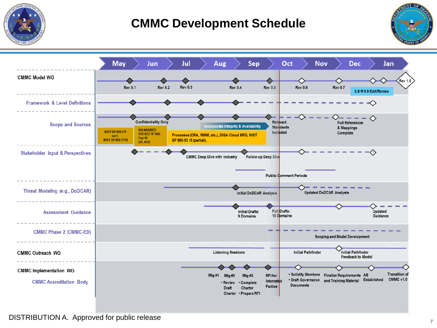

### **CMMC Development Schedule**